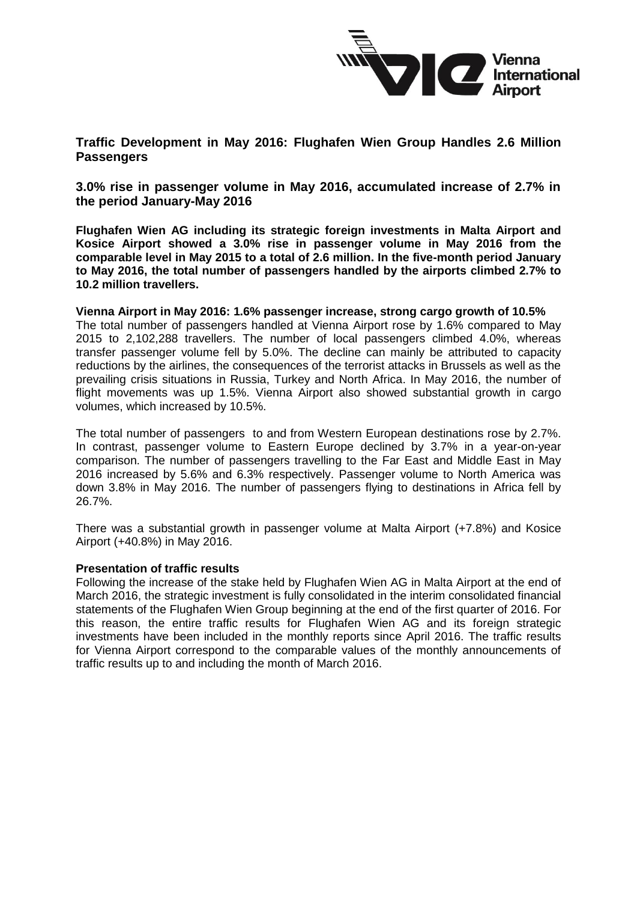

**Traffic Development in May 2016: Flughafen Wien Group Handles 2.6 Million Passengers**

**3.0% rise in passenger volume in May 2016, accumulated increase of 2.7% in the period January-May 2016**

**Flughafen Wien AG including its strategic foreign investments in Malta Airport and Kosice Airport showed a 3.0% rise in passenger volume in May 2016 from the comparable level in May 2015 to a total of 2.6 million. In the five-month period January to May 2016, the total number of passengers handled by the airports climbed 2.7% to 10.2 million travellers.**

**Vienna Airport in May 2016: 1.6% passenger increase, strong cargo growth of 10.5%** 

The total number of passengers handled at Vienna Airport rose by 1.6% compared to May 2015 to 2,102,288 travellers. The number of local passengers climbed 4.0%, whereas transfer passenger volume fell by 5.0%. The decline can mainly be attributed to capacity reductions by the airlines, the consequences of the terrorist attacks in Brussels as well as the prevailing crisis situations in Russia, Turkey and North Africa. In May 2016, the number of flight movements was up 1.5%. Vienna Airport also showed substantial growth in cargo volumes, which increased by 10.5%.

The total number of passengers to and from Western European destinations rose by 2.7%. In contrast, passenger volume to Eastern Europe declined by 3.7% in a year-on-year comparison. The number of passengers travelling to the Far East and Middle East in May 2016 increased by 5.6% and 6.3% respectively. Passenger volume to North America was down 3.8% in May 2016. The number of passengers flying to destinations in Africa fell by 26.7%.

There was a substantial growth in passenger volume at Malta Airport (+7.8%) and Kosice Airport (+40.8%) in May 2016.

## **Presentation of traffic results**

Following the increase of the stake held by Flughafen Wien AG in Malta Airport at the end of March 2016, the strategic investment is fully consolidated in the interim consolidated financial statements of the Flughafen Wien Group beginning at the end of the first quarter of 2016. For this reason, the entire traffic results for Flughafen Wien AG and its foreign strategic investments have been included in the monthly reports since April 2016. The traffic results for Vienna Airport correspond to the comparable values of the monthly announcements of traffic results up to and including the month of March 2016.